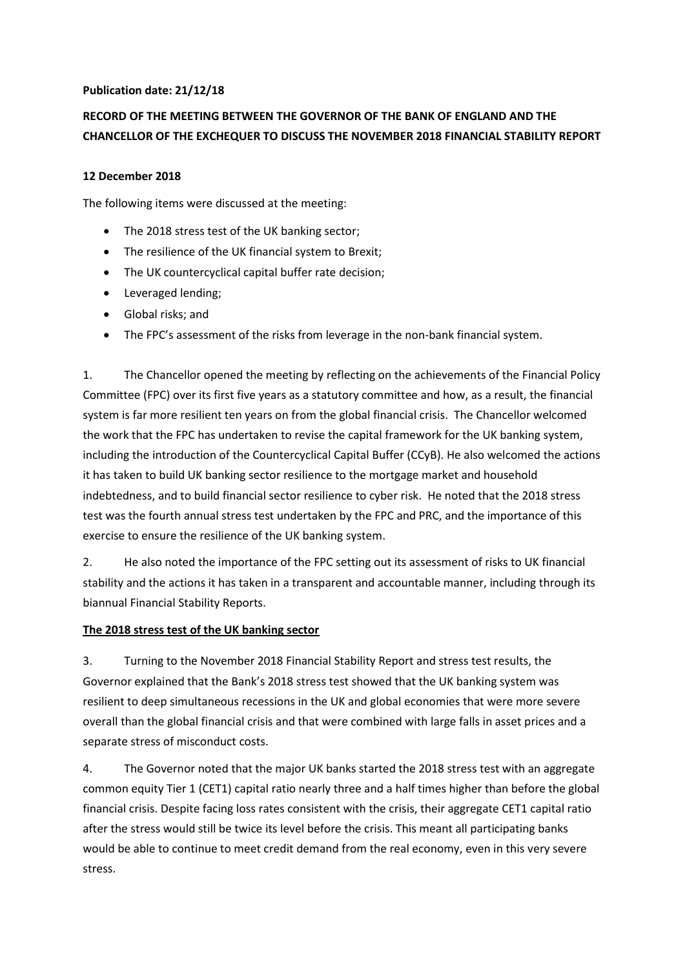## **Publication date: 21/12/18**

# **RECORD OF THE MEETING BETWEEN THE GOVERNOR OF THE BANK OF ENGLAND AND THE CHANCELLOR OF THE EXCHEQUER TO DISCUSS THE NOVEMBER 2018 FINANCIAL STABILITY REPORT**

#### **12 December 2018**

The following items were discussed at the meeting:

- The 2018 stress test of the UK banking sector;
- The resilience of the UK financial system to Brexit;
- The UK countercyclical capital buffer rate decision;
- Leveraged lending;
- Global risks; and
- The FPC's assessment of the risks from leverage in the non-bank financial system.

1. The Chancellor opened the meeting by reflecting on the achievements of the Financial Policy Committee (FPC) over its first five years as a statutory committee and how, as a result, the financial system is far more resilient ten years on from the global financial crisis. The Chancellor welcomed the work that the FPC has undertaken to revise the capital framework for the UK banking system, including the introduction of the Countercyclical Capital Buffer (CCyB). He also welcomed the actions it has taken to build UK banking sector resilience to the mortgage market and household indebtedness, and to build financial sector resilience to cyber risk. He noted that the 2018 stress test was the fourth annual stress test undertaken by the FPC and PRC, and the importance of this exercise to ensure the resilience of the UK banking system.

2. He also noted the importance of the FPC setting out its assessment of risks to UK financial stability and the actions it has taken in a transparent and accountable manner, including through its biannual Financial Stability Reports.

#### **The 2018 stress test of the UK banking sector**

3. Turning to the November 2018 Financial Stability Report and stress test results, the Governor explained that the Bank's 2018 stress test showed that the UK banking system was resilient to deep simultaneous recessions in the UK and global economies that were more severe overall than the global financial crisis and that were combined with large falls in asset prices and a separate stress of misconduct costs.

4. The Governor noted that the major UK banks started the 2018 stress test with an aggregate common equity Tier 1 (CET1) capital ratio nearly three and a half times higher than before the global financial crisis. Despite facing loss rates consistent with the crisis, their aggregate CET1 capital ratio after the stress would still be twice its level before the crisis. This meant all participating banks would be able to continue to meet credit demand from the real economy, even in this very severe stress.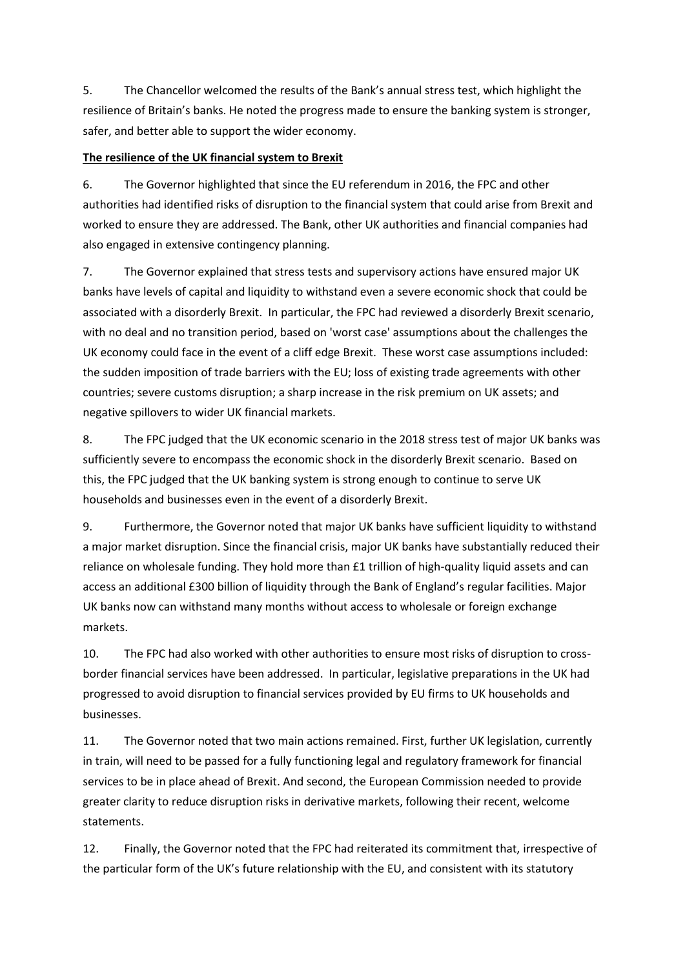5. The Chancellor welcomed the results of the Bank's annual stress test, which highlight the resilience of Britain's banks. He noted the progress made to ensure the banking system is stronger, safer, and better able to support the wider economy.

## **The resilience of the UK financial system to Brexit**

6. The Governor highlighted that since the EU referendum in 2016, the FPC and other authorities had identified risks of disruption to the financial system that could arise from Brexit and worked to ensure they are addressed. The Bank, other UK authorities and financial companies had also engaged in extensive contingency planning.

7. The Governor explained that stress tests and supervisory actions have ensured major UK banks have levels of capital and liquidity to withstand even a severe economic shock that could be associated with a disorderly Brexit. In particular, the FPC had reviewed a disorderly Brexit scenario, with no deal and no transition period, based on 'worst case' assumptions about the challenges the UK economy could face in the event of a cliff edge Brexit. These worst case assumptions included: the sudden imposition of trade barriers with the EU; loss of existing trade agreements with other countries; severe customs disruption; a sharp increase in the risk premium on UK assets; and negative spillovers to wider UK financial markets.

8. The FPC judged that the UK economic scenario in the 2018 stress test of major UK banks was sufficiently severe to encompass the economic shock in the disorderly Brexit scenario. Based on this, the FPC judged that the UK banking system is strong enough to continue to serve UK households and businesses even in the event of a disorderly Brexit.

9. Furthermore, the Governor noted that major UK banks have sufficient liquidity to withstand a major market disruption. Since the financial crisis, major UK banks have substantially reduced their reliance on wholesale funding. They hold more than £1 trillion of high-quality liquid assets and can access an additional £300 billion of liquidity through the Bank of England's regular facilities. Major UK banks now can withstand many months without access to wholesale or foreign exchange markets.

10. The FPC had also worked with other authorities to ensure most risks of disruption to crossborder financial services have been addressed. In particular, legislative preparations in the UK had progressed to avoid disruption to financial services provided by EU firms to UK households and businesses.

11. The Governor noted that two main actions remained. First, further UK legislation, currently in train, will need to be passed for a fully functioning legal and regulatory framework for financial services to be in place ahead of Brexit. And second, the European Commission needed to provide greater clarity to reduce disruption risks in derivative markets, following their recent, welcome statements.

12. Finally, the Governor noted that the FPC had reiterated its commitment that, irrespective of the particular form of the UK's future relationship with the EU, and consistent with its statutory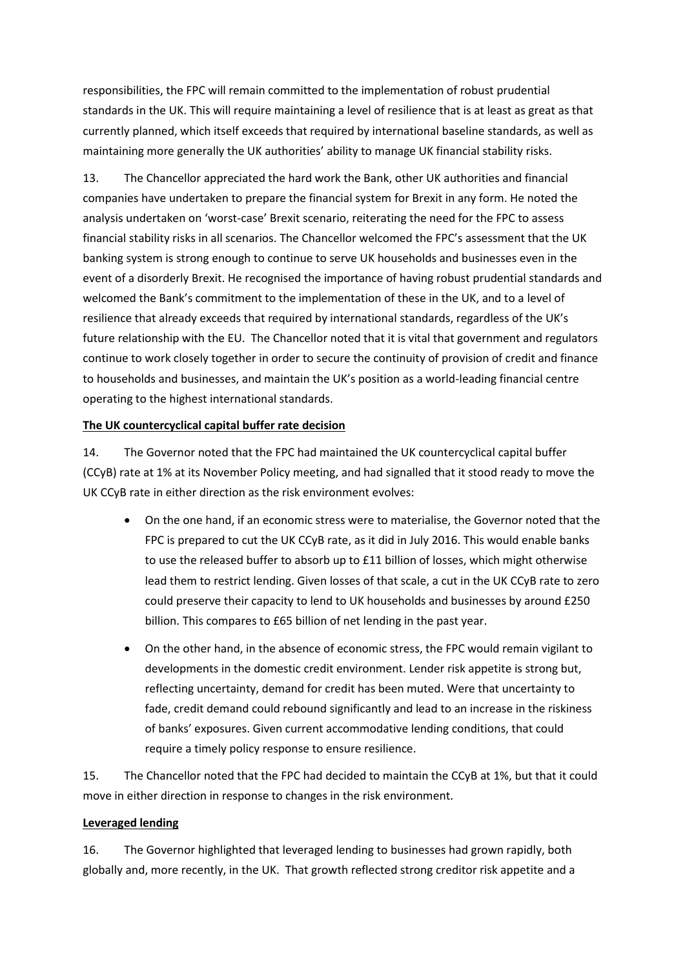responsibilities, the FPC will remain committed to the implementation of robust prudential standards in the UK. This will require maintaining a level of resilience that is at least as great as that currently planned, which itself exceeds that required by international baseline standards, as well as maintaining more generally the UK authorities' ability to manage UK financial stability risks.

13. The Chancellor appreciated the hard work the Bank, other UK authorities and financial companies have undertaken to prepare the financial system for Brexit in any form. He noted the analysis undertaken on 'worst-case' Brexit scenario, reiterating the need for the FPC to assess financial stability risks in all scenarios. The Chancellor welcomed the FPC's assessment that the UK banking system is strong enough to continue to serve UK households and businesses even in the event of a disorderly Brexit. He recognised the importance of having robust prudential standards and welcomed the Bank's commitment to the implementation of these in the UK, and to a level of resilience that already exceeds that required by international standards, regardless of the UK's future relationship with the EU. The Chancellor noted that it is vital that government and regulators continue to work closely together in order to secure the continuity of provision of credit and finance to households and businesses, and maintain the UK's position as a world-leading financial centre operating to the highest international standards.

#### **The UK countercyclical capital buffer rate decision**

14. The Governor noted that the FPC had maintained the UK countercyclical capital buffer (CCyB) rate at 1% at its November Policy meeting, and had signalled that it stood ready to move the UK CCyB rate in either direction as the risk environment evolves:

- On the one hand, if an economic stress were to materialise, the Governor noted that the FPC is prepared to cut the UK CCyB rate, as it did in July 2016. This would enable banks to use the released buffer to absorb up to £11 billion of losses, which might otherwise lead them to restrict lending. Given losses of that scale, a cut in the UK CCyB rate to zero could preserve their capacity to lend to UK households and businesses by around £250 billion. This compares to £65 billion of net lending in the past year.
- On the other hand, in the absence of economic stress, the FPC would remain vigilant to developments in the domestic credit environment. Lender risk appetite is strong but, reflecting uncertainty, demand for credit has been muted. Were that uncertainty to fade, credit demand could rebound significantly and lead to an increase in the riskiness of banks' exposures. Given current accommodative lending conditions, that could require a timely policy response to ensure resilience.

15. The Chancellor noted that the FPC had decided to maintain the CCyB at 1%, but that it could move in either direction in response to changes in the risk environment.

#### **Leveraged lending**

16. The Governor highlighted that leveraged lending to businesses had grown rapidly, both globally and, more recently, in the UK. That growth reflected strong creditor risk appetite and a